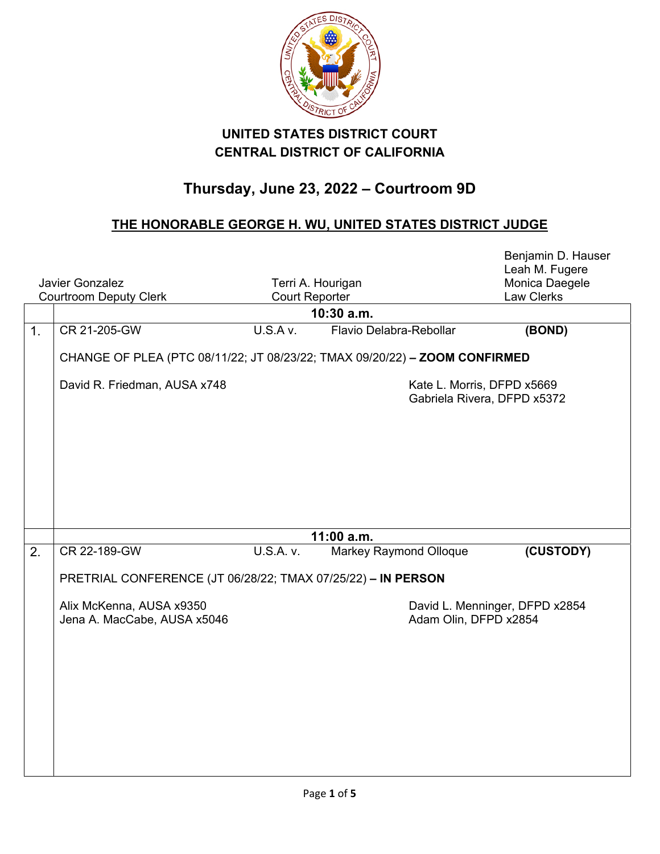

## **UNITED STATES DISTRICT COURT CENTRAL DISTRICT OF CALIFORNIA**

## **Thursday, June 23, 2022 – Courtroom 9D**

## **THE HONORABLE GEORGE H. WU, UNITED STATES DISTRICT JUDGE**

|                                                                            |                                                              |                       |                               |                                                           | Benjamin D. Hauser<br>Leah M. Fugere |
|----------------------------------------------------------------------------|--------------------------------------------------------------|-----------------------|-------------------------------|-----------------------------------------------------------|--------------------------------------|
| Javier Gonzalez                                                            |                                                              | Terri A. Hourigan     |                               |                                                           | Monica Daegele                       |
| <b>Courtroom Deputy Clerk</b>                                              |                                                              | <b>Court Reporter</b> |                               |                                                           | <b>Law Clerks</b>                    |
|                                                                            |                                                              |                       | $10:30$ a.m.                  |                                                           |                                      |
| $\mathbf{1}$ .                                                             | CR 21-205-GW                                                 | U.S.A.v.              | Flavio Delabra-Rebollar       |                                                           | (BOND)                               |
| CHANGE OF PLEA (PTC 08/11/22; JT 08/23/22; TMAX 09/20/22) - ZOOM CONFIRMED |                                                              |                       |                               |                                                           |                                      |
|                                                                            | David R. Friedman, AUSA x748                                 |                       |                               | Kate L. Morris, DFPD x5669<br>Gabriela Rivera, DFPD x5372 |                                      |
|                                                                            |                                                              |                       | 11:00 a.m.                    |                                                           |                                      |
| 2.                                                                         | CR 22-189-GW                                                 | U.S.A. v.             | <b>Markey Raymond Olloque</b> |                                                           | (CUSTODY)                            |
|                                                                            | PRETRIAL CONFERENCE (JT 06/28/22; TMAX 07/25/22) - IN PERSON |                       |                               |                                                           |                                      |
|                                                                            | Alix McKenna, AUSA x9350<br>Jena A. MacCabe, AUSA x5046      |                       |                               | Adam Olin, DFPD x2854                                     | David L. Menninger, DFPD x2854       |
|                                                                            |                                                              |                       |                               |                                                           |                                      |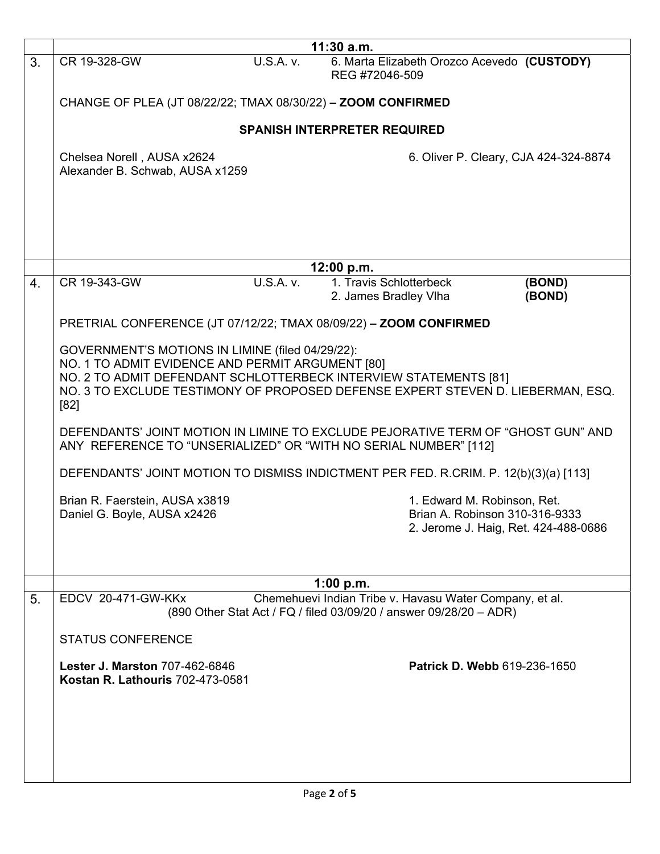|                | 11:30 a.m.                                                                                                                                                                                                                                                          |                                                                                                       |  |  |  |
|----------------|---------------------------------------------------------------------------------------------------------------------------------------------------------------------------------------------------------------------------------------------------------------------|-------------------------------------------------------------------------------------------------------|--|--|--|
| 3 <sub>1</sub> | U.S.A. v.<br>CR 19-328-GW                                                                                                                                                                                                                                           | 6. Marta Elizabeth Orozco Acevedo (CUSTODY)<br>REG #72046-509                                         |  |  |  |
|                | CHANGE OF PLEA (JT 08/22/22; TMAX 08/30/22) - ZOOM CONFIRMED                                                                                                                                                                                                        |                                                                                                       |  |  |  |
|                | <b>SPANISH INTERPRETER REQUIRED</b>                                                                                                                                                                                                                                 |                                                                                                       |  |  |  |
|                | Chelsea Norell, AUSA x2624<br>6. Oliver P. Cleary, CJA 424-324-8874<br>Alexander B. Schwab, AUSA x1259                                                                                                                                                              |                                                                                                       |  |  |  |
|                |                                                                                                                                                                                                                                                                     |                                                                                                       |  |  |  |
|                | 12:00 p.m.                                                                                                                                                                                                                                                          |                                                                                                       |  |  |  |
| 4.             | U.S.A. v.<br>CR 19-343-GW                                                                                                                                                                                                                                           | 1. Travis Schlotterbeck<br>(BOND)<br>(BOND)<br>2. James Bradley Vlha                                  |  |  |  |
|                | PRETRIAL CONFERENCE (JT 07/12/22; TMAX 08/09/22) - ZOOM CONFIRMED                                                                                                                                                                                                   |                                                                                                       |  |  |  |
|                | GOVERNMENT'S MOTIONS IN LIMINE (filed 04/29/22):<br>NO. 1 TO ADMIT EVIDENCE AND PERMIT ARGUMENT [80]<br>NO. 2 TO ADMIT DEFENDANT SCHLOTTERBECK INTERVIEW STATEMENTS [81]<br>NO. 3 TO EXCLUDE TESTIMONY OF PROPOSED DEFENSE EXPERT STEVEN D. LIEBERMAN, ESQ.<br>[82] |                                                                                                       |  |  |  |
|                | DEFENDANTS' JOINT MOTION IN LIMINE TO EXCLUDE PEJORATIVE TERM OF "GHOST GUN" AND<br>ANY REFERENCE TO "UNSERIALIZED" OR "WITH NO SERIAL NUMBER" [112]                                                                                                                |                                                                                                       |  |  |  |
|                | DEFENDANTS' JOINT MOTION TO DISMISS INDICTMENT PER FED. R.CRIM. P. 12(b)(3)(a) [113]                                                                                                                                                                                |                                                                                                       |  |  |  |
|                | Brian R. Faerstein, AUSA x3819<br>Daniel G. Boyle, AUSA x2426                                                                                                                                                                                                       | 1. Edward M. Robinson, Ret.<br>Brian A. Robinson 310-316-9333<br>2. Jerome J. Haig, Ret. 424-488-0686 |  |  |  |
|                |                                                                                                                                                                                                                                                                     |                                                                                                       |  |  |  |
|                | 1:00 p.m.                                                                                                                                                                                                                                                           |                                                                                                       |  |  |  |
| 5.             | Chemehuevi Indian Tribe v. Havasu Water Company, et al.<br>EDCV 20-471-GW-KKx<br>(890 Other Stat Act / FQ / filed 03/09/20 / answer 09/28/20 - ADR)<br><b>STATUS CONFERENCE</b>                                                                                     |                                                                                                       |  |  |  |
|                |                                                                                                                                                                                                                                                                     |                                                                                                       |  |  |  |
|                | <b>Lester J. Marston 707-462-6846</b><br>Kostan R. Lathouris 702-473-0581                                                                                                                                                                                           | <b>Patrick D. Webb 619-236-1650</b>                                                                   |  |  |  |
|                |                                                                                                                                                                                                                                                                     |                                                                                                       |  |  |  |
|                |                                                                                                                                                                                                                                                                     |                                                                                                       |  |  |  |
|                |                                                                                                                                                                                                                                                                     |                                                                                                       |  |  |  |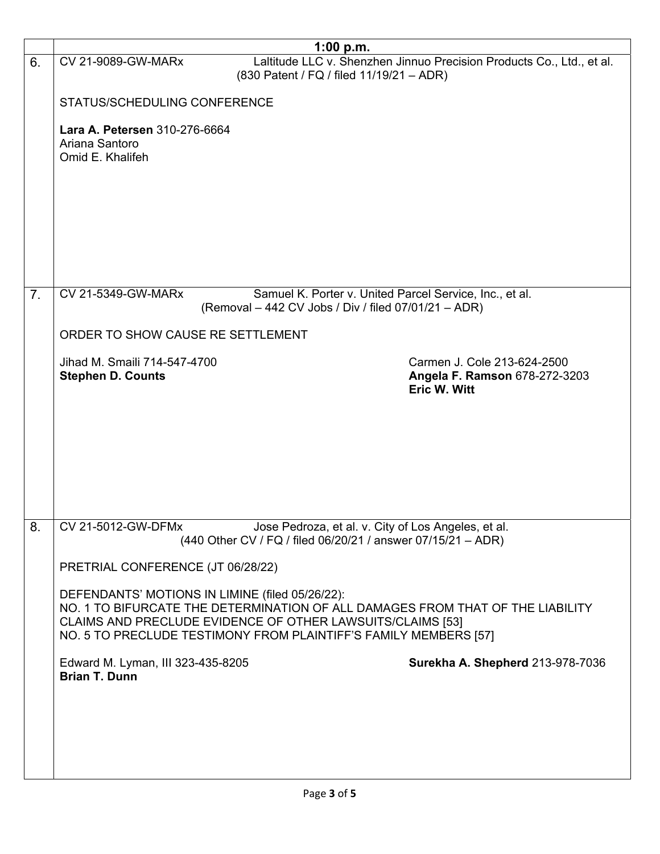|                | 1:00 p.m.                                                                                                                                                                                                                                                           |                                                                              |  |  |
|----------------|---------------------------------------------------------------------------------------------------------------------------------------------------------------------------------------------------------------------------------------------------------------------|------------------------------------------------------------------------------|--|--|
| 6.             | Laltitude LLC v. Shenzhen Jinnuo Precision Products Co., Ltd., et al.<br>CV 21-9089-GW-MARx<br>(830 Patent / FQ / filed 11/19/21 - ADR)                                                                                                                             |                                                                              |  |  |
|                | STATUS/SCHEDULING CONFERENCE                                                                                                                                                                                                                                        |                                                                              |  |  |
|                | Lara A. Petersen 310-276-6664<br>Ariana Santoro<br>Omid E. Khalifeh                                                                                                                                                                                                 |                                                                              |  |  |
|                |                                                                                                                                                                                                                                                                     |                                                                              |  |  |
| 7 <sub>1</sub> | CV 21-5349-GW-MARx<br>Samuel K. Porter v. United Parcel Service, Inc., et al.<br>(Removal – 442 CV Jobs / Div / filed 07/01/21 – ADR)                                                                                                                               |                                                                              |  |  |
|                | ORDER TO SHOW CAUSE RE SETTLEMENT                                                                                                                                                                                                                                   |                                                                              |  |  |
|                | Jihad M. Smaili 714-547-4700<br><b>Stephen D. Counts</b>                                                                                                                                                                                                            | Carmen J. Cole 213-624-2500<br>Angela F. Ramson 678-272-3203<br>Eric W. Witt |  |  |
|                |                                                                                                                                                                                                                                                                     |                                                                              |  |  |
| 8.             | CV 21-5012-GW-DFMx<br>Jose Pedroza, et al. v. City of Los Angeles, et al.<br>(440 Other CV / FQ / filed 06/20/21 / answer 07/15/21 - ADR)                                                                                                                           |                                                                              |  |  |
|                | PRETRIAL CONFERENCE (JT 06/28/22)                                                                                                                                                                                                                                   |                                                                              |  |  |
|                | DEFENDANTS' MOTIONS IN LIMINE (filed 05/26/22):<br>NO. 1 TO BIFURCATE THE DETERMINATION OF ALL DAMAGES FROM THAT OF THE LIABILITY<br>CLAIMS AND PRECLUDE EVIDENCE OF OTHER LAWSUITS/CLAIMS [53]<br>NO. 5 TO PRECLUDE TESTIMONY FROM PLAINTIFF'S FAMILY MEMBERS [57] |                                                                              |  |  |
|                | Edward M. Lyman, III 323-435-8205<br><b>Brian T. Dunn</b>                                                                                                                                                                                                           | <b>Surekha A. Shepherd 213-978-7036</b>                                      |  |  |
|                |                                                                                                                                                                                                                                                                     |                                                                              |  |  |
|                |                                                                                                                                                                                                                                                                     |                                                                              |  |  |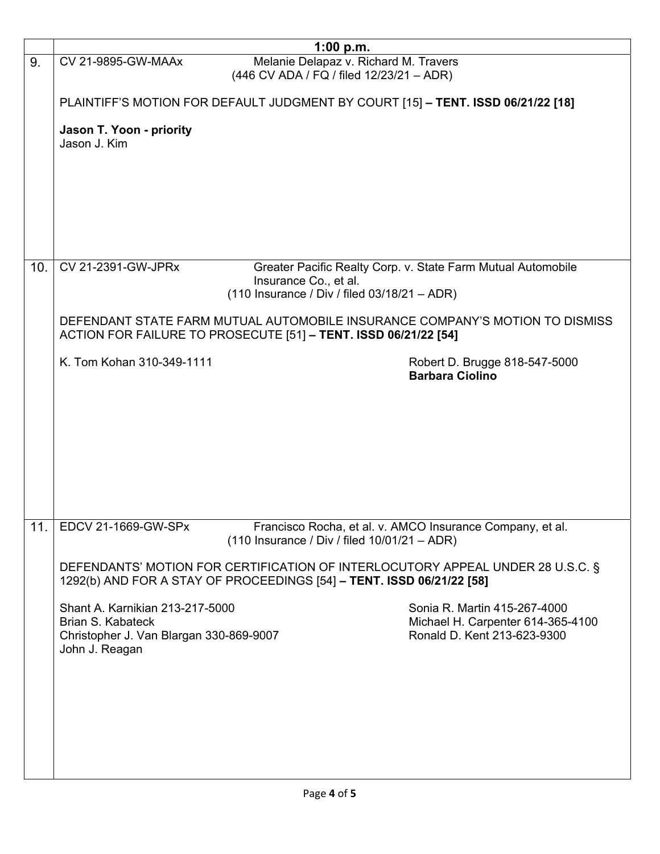|     | 1:00 p.m.                                                                                                                                       |                                                                                                        |                                                                                |  |
|-----|-------------------------------------------------------------------------------------------------------------------------------------------------|--------------------------------------------------------------------------------------------------------|--------------------------------------------------------------------------------|--|
| 9.  | Melanie Delapaz v. Richard M. Travers<br>CV 21-9895-GW-MAAx<br>(446 CV ADA / FQ / filed 12/23/21 - ADR)                                         |                                                                                                        |                                                                                |  |
|     | PLAINTIFF'S MOTION FOR DEFAULT JUDGMENT BY COURT [15] - TENT. ISSD 06/21/22 [18]                                                                |                                                                                                        |                                                                                |  |
|     | Jason T. Yoon - priority<br>Jason J. Kim                                                                                                        |                                                                                                        |                                                                                |  |
|     |                                                                                                                                                 |                                                                                                        |                                                                                |  |
|     |                                                                                                                                                 |                                                                                                        |                                                                                |  |
|     |                                                                                                                                                 |                                                                                                        |                                                                                |  |
| 10. | CV 21-2391-GW-JPRx                                                                                                                              | Insurance Co., et al.<br>$(110 \text{ Insurance} / \text{Div} / \text{ filed } 03/18/21 - \text{ADR})$ | Greater Pacific Realty Corp. v. State Farm Mutual Automobile                   |  |
|     | DEFENDANT STATE FARM MUTUAL AUTOMOBILE INSURANCE COMPANY'S MOTION TO DISMISS<br>ACTION FOR FAILURE TO PROSECUTE [51] - TENT. ISSD 06/21/22 [54] |                                                                                                        |                                                                                |  |
|     | K. Tom Kohan 310-349-1111                                                                                                                       |                                                                                                        | Robert D. Brugge 818-547-5000<br><b>Barbara Ciolino</b>                        |  |
|     |                                                                                                                                                 |                                                                                                        |                                                                                |  |
|     |                                                                                                                                                 |                                                                                                        |                                                                                |  |
|     |                                                                                                                                                 |                                                                                                        |                                                                                |  |
|     |                                                                                                                                                 |                                                                                                        |                                                                                |  |
| 11. | EDCV 21-1669-GW-SPx                                                                                                                             | $(110 \text{ Insurance } / \text{Div } / \text{ filed } 10/01/21 - \text{ADR})$                        | Francisco Rocha, et al. v. AMCO Insurance Company, et al.                      |  |
|     | 1292(b) AND FOR A STAY OF PROCEEDINGS [54] - TENT. ISSD 06/21/22 [58]                                                                           |                                                                                                        | DEFENDANTS' MOTION FOR CERTIFICATION OF INTERLOCUTORY APPEAL UNDER 28 U.S.C. § |  |
|     | Shant A. Karnikian 213-217-5000<br>Brian S. Kabateck                                                                                            |                                                                                                        | Sonia R. Martin 415-267-4000<br>Michael H. Carpenter 614-365-4100              |  |
|     | Christopher J. Van Blargan 330-869-9007<br>John J. Reagan                                                                                       |                                                                                                        | Ronald D. Kent 213-623-9300                                                    |  |
|     |                                                                                                                                                 |                                                                                                        |                                                                                |  |
|     |                                                                                                                                                 |                                                                                                        |                                                                                |  |
|     |                                                                                                                                                 |                                                                                                        |                                                                                |  |
|     |                                                                                                                                                 |                                                                                                        |                                                                                |  |